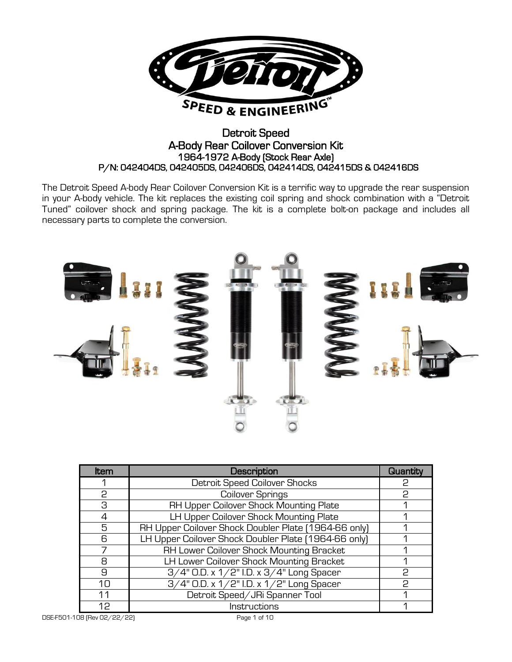

## Detroit Speed A-Body Rear Coilover Conversion Kit 1964-1972 A-Body (Stock Rear Axle) P/N: 042404DS, 042405DS, 042406DS, 042414DS, 042415DS & 042416DS

The Detroit Speed A-body Rear Coilover Conversion Kit is a terrific way to upgrade the rear suspension in your A-body vehicle. The kit replaces the existing coil spring and shock combination with a "Detroit Tuned" coilover shock and spring package. The kit is a complete bolt-on package and includes all necessary parts to complete the conversion.



| <b>Item</b>  | Description                                          | Quantity |
|--------------|------------------------------------------------------|----------|
|              | Detroit Speed Coilover Shocks                        | 2        |
| 2            | Coilover Springs                                     | P.       |
| З            | RH Upper Coilover Shock Mounting Plate               |          |
| 4            | LH Upper Coilover Shock Mounting Plate               |          |
| 5            | RH Upper Coilover Shock Doubler Plate [1964-66 only] |          |
| 6            | LH Upper Coilover Shock Doubler Plate [1964-66 only] |          |
|              | RH Lower Coilover Shock Mounting Bracket             |          |
| Я            | LH Lower Coilover Shock Mounting Bracket             |          |
| $\mathbf{a}$ | 3/4" O.D. x 1/2" I.D. x 3/4" Long Spacer             | P.       |
| 10           | 3/4" O.D. x 1/2" I.D. x 1/2" Long Spacer             | P        |
| 11           | Detroit Speed/JRi Spanner Tool                       |          |
| 12           | Instructions                                         |          |

DSE-F501-108 (Rev 02/22/22) Page 1 of 10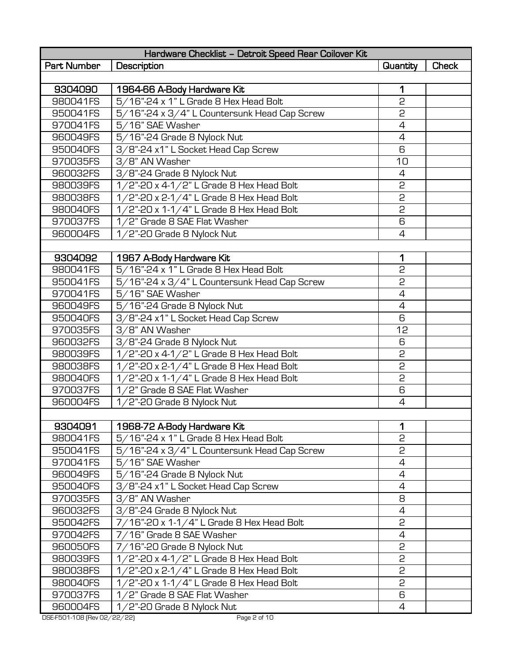| Hardware Checklist - Detroit Speed Rear Coilover Kit |                                              |                 |              |  |  |
|------------------------------------------------------|----------------------------------------------|-----------------|--------------|--|--|
| Part Number                                          | Description                                  | <b>Quantity</b> | <b>Check</b> |  |  |
|                                                      |                                              |                 |              |  |  |
| 9304090                                              | 1964-66 A-Body Hardware Kit                  | 1               |              |  |  |
| 980041FS                                             | 5/16"-24 x 1" L Grade 8 Hex Head Bolt        | 2               |              |  |  |
| 950041FS                                             | 5/16"-24 x 3/4" L Countersunk Head Cap Screw | 2               |              |  |  |
| 970041FS                                             | 5/16" SAE Washer                             | $\overline{4}$  |              |  |  |
| 960049FS                                             | 5/16"-24 Grade 8 Nylock Nut                  | $\overline{4}$  |              |  |  |
| 950040FS                                             | 3/8"-24 x1" L Socket Head Cap Screw          | 6               |              |  |  |
| 970035FS                                             | 3/8" AN Washer                               | 10              |              |  |  |
| 960032FS                                             | 3/8"-24 Grade 8 Nylock Nut                   | 4               |              |  |  |
| 980039FS                                             | 1/2"-20 x 4-1/2" L Grade 8 Hex Head Bolt     | 2               |              |  |  |
| 980038FS                                             | 1/2"-20 x 2-1/4" L Grade 8 Hex Head Bolt     | 2               |              |  |  |
| 980040FS                                             | 1/2"-20 x 1-1/4" L Grade 8 Hex Head Bolt     | 2               |              |  |  |
| 970037FS                                             | 1/2" Grade 8 SAE Flat Washer                 | 6               |              |  |  |
| 960004FS                                             | 1/2"-20 Grade 8 Nylock Nut                   | $\overline{4}$  |              |  |  |
|                                                      |                                              |                 |              |  |  |
| 9304092                                              | 1967 A-Body Hardware Kit                     | 1               |              |  |  |
| 980041FS                                             | 5/16"-24 x 1" L Grade 8 Hex Head Bolt        | 2               |              |  |  |
| 950041FS                                             | 5/16"-24 x 3/4" L Countersunk Head Cap Screw | 2               |              |  |  |
| 970041FS                                             | 5/16" SAE Washer                             | $\overline{4}$  |              |  |  |
| 960049FS                                             | 5/16"-24 Grade 8 Nylock Nut                  | $\overline{4}$  |              |  |  |
| 950040FS                                             | 3/8"-24 x1" L Socket Head Cap Screw          | 6               |              |  |  |
| 970035FS                                             | 3/8" AN Washer                               | 12              |              |  |  |
| 960032FS                                             | 3/8"-24 Grade 8 Nylock Nut                   | 6               |              |  |  |
| 980039FS                                             | 1/2"-20 x 4-1/2" L Grade 8 Hex Head Bolt     | 2               |              |  |  |
| 980038FS                                             | 1/2"-20 x 2-1/4" L Grade 8 Hex Head Bolt     | 2               |              |  |  |
| 980040FS                                             | 1/2"-20 x 1-1/4" L Grade 8 Hex Head Bolt     | 2               |              |  |  |
| 970037FS                                             | 1/2" Grade 8 SAE Flat Washer                 | 6               |              |  |  |
| 960004FS                                             | 1/2"-20 Grade 8 Nylock Nut                   | $\overline{4}$  |              |  |  |
|                                                      |                                              |                 |              |  |  |
| 9304091                                              | 1968-72 A-Body Hardware Kit                  | 1               |              |  |  |
| 980041FS                                             | 5/16"-24 x 1" L Grade 8 Hex Head Bolt        | 2               |              |  |  |
| 950041FS                                             | 5/16"-24 x 3/4" L Countersunk Head Cap Screw | 2               |              |  |  |
| 970041FS                                             | 5/16" SAE Washer                             | 4               |              |  |  |
| 960049FS                                             | 5/16"-24 Grade 8 Nylock Nut                  | 4               |              |  |  |
| 950040FS                                             | 3/8"-24 x1" L Socket Head Cap Screw          | 4               |              |  |  |
| 970035FS                                             | 3/8" AN Washer                               | 8               |              |  |  |
| 960032FS                                             | 3/8"-24 Grade 8 Nylock Nut                   | 4               |              |  |  |
| 950042FS                                             | 7/16"-20 x 1-1/4" L Grade 8 Hex Head Bolt    | 2               |              |  |  |
| 970042FS                                             | 7/16" Grade 8 SAE Washer                     | 4               |              |  |  |
| 960050FS                                             | 7/16"-20 Grade 8 Nylock Nut                  | 2               |              |  |  |
| 980039FS                                             | 1/2"-20 x 4-1/2" L Grade 8 Hex Head Bolt     | 2               |              |  |  |
| 980038FS                                             | 1/2"-20 x 2-1/4" L Grade 8 Hex Head Bolt     | 5               |              |  |  |
| 980040FS                                             | 1/2"-20 x 1-1/4" L Grade 8 Hex Head Bolt     | 2               |              |  |  |
| 970037FS                                             | 1/2" Grade 8 SAE Flat Washer                 | 6               |              |  |  |
| 960004FS                                             | 1/2"-20 Grade 8 Nylock Nut                   | 4               |              |  |  |
| DSE-F501-108 [Rev 02/22/22]                          | Page 2 of 10                                 |                 |              |  |  |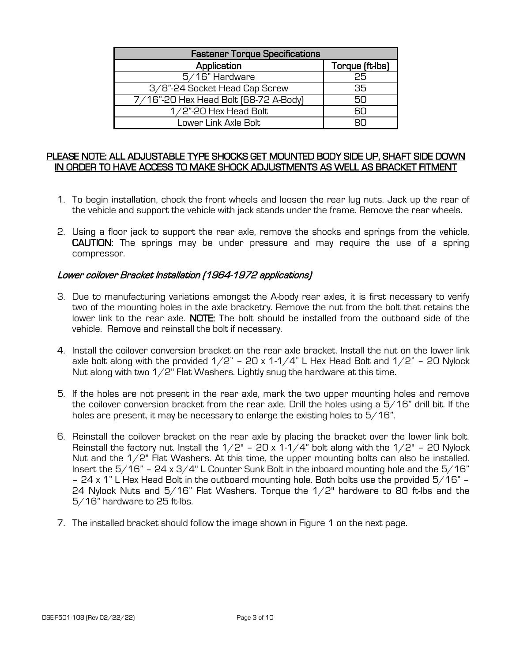| <b>Fastener Torque Specifications</b> |                 |  |  |
|---------------------------------------|-----------------|--|--|
| Application                           | Torque (ft-lbs) |  |  |
| 5/16" Hardware                        | 25              |  |  |
| 3/8"-24 Socket Head Cap Screw         | 35              |  |  |
| 7/16"-20 Hex Head Bolt [68-72 A-Body] | 50              |  |  |
| $1/2$ "-20 Hex Head Bolt              | RП              |  |  |
| Lower Link Axle Bolt                  |                 |  |  |

#### PLEASE NOTE: ALL ADJUSTABLE TYPE SHOCKS GET MOUNTED BODY SIDE UP, SHAFT SIDE DOWN IN ORDER TO HAVE ACCESS TO MAKE SHOCK ADJUSTMENTS AS WELL AS BRACKET FITMENT

- 1. To begin installation, chock the front wheels and loosen the rear lug nuts. Jack up the rear of the vehicle and support the vehicle with jack stands under the frame. Remove the rear wheels.
- 2. Using a floor jack to support the rear axle, remove the shocks and springs from the vehicle. CAUTION: The springs may be under pressure and may require the use of a spring compressor.

### Lower coilover Bracket Installation (1964-1972 applications)

- 3. Due to manufacturing variations amongst the A-body rear axles, it is first necessary to verify two of the mounting holes in the axle bracketry. Remove the nut from the bolt that retains the lower link to the rear axle. NOTE: The bolt should be installed from the outboard side of the vehicle. Remove and reinstall the bolt if necessary.
- 4. Install the coilover conversion bracket on the rear axle bracket. Install the nut on the lower link axle bolt along with the provided  $1/2$ " – 20 x 1-1/4" L Hex Head Bolt and  $1/2$ " – 20 Nylock Nut along with two 1/2" Flat Washers. Lightly snug the hardware at this time.
- 5. If the holes are not present in the rear axle, mark the two upper mounting holes and remove the coilover conversion bracket from the rear axle. Drill the holes using a  $5/16$ " drill bit. If the holes are present, it may be necessary to enlarge the existing holes to 5/16".
- 6. Reinstall the coilover bracket on the rear axle by placing the bracket over the lower link bolt. Reinstall the factory nut. Install the  $1/2$ " – 20 x  $1-1/4$ " bolt along with the  $1/2$ " – 20 Nylock Nut and the 1/2" Flat Washers. At this time, the upper mounting bolts can also be installed. Insert the  $5/16"$  – 24 x  $3/4"$  L Counter Sunk Bolt in the inboard mounting hole and the  $5/16"$ – 24 x 1" L Hex Head Bolt in the outboard mounting hole. Both bolts use the provided 5/16" – 24 Nylock Nuts and 5/16" Flat Washers. Torque the 1/2" hardware to 80 ft-lbs and the 5/16" hardware to 25 ft-lbs.
- 7. The installed bracket should follow the image shown in Figure 1 on the next page.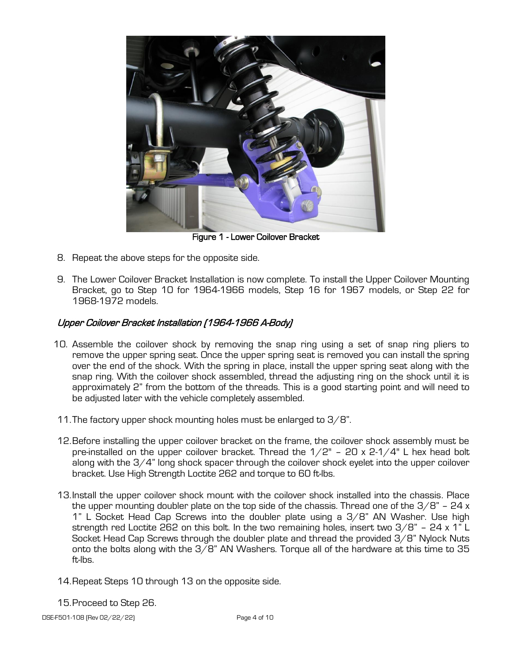

Figure 1 - Lower Coilover Bracket

- 8. Repeat the above steps for the opposite side.
- 9. The Lower Coilover Bracket Installation is now complete. To install the Upper Coilover Mounting Bracket, go to Step 10 for 1964-1966 models, Step 16 for 1967 models, or Step 22 for 1968-1972 models.

# Upper Coilover Bracket Installation (1964-1966 A-Body)

- 10. Assemble the coilover shock by removing the snap ring using a set of snap ring pliers to remove the upper spring seat. Once the upper spring seat is removed you can install the spring over the end of the shock. With the spring in place, install the upper spring seat along with the snap ring. With the coilover shock assembled, thread the adjusting ring on the shock until it is approximately 2" from the bottom of the threads. This is a good starting point and will need to be adjusted later with the vehicle completely assembled.
- 11.The factory upper shock mounting holes must be enlarged to 3/8".
- 12.Before installing the upper coilover bracket on the frame, the coilover shock assembly must be pre-installed on the upper coilover bracket. Thread the  $1/2$ " – 20 x 2-1/4" L hex head bolt along with the 3/4" long shock spacer through the coilover shock eyelet into the upper coilover bracket. Use High Strength Loctite 262 and torque to 60 ft-lbs.
- 13.Install the upper coilover shock mount with the coilover shock installed into the chassis. Place the upper mounting doubler plate on the top side of the chassis. Thread one of the  $3/8$ " - 24 x 1" L Socket Head Cap Screws into the doubler plate using a 3/8" AN Washer. Use high strength red Loctite 262 on this bolt. In the two remaining holes, insert two 3/8" – 24 x 1" L Socket Head Cap Screws through the doubler plate and thread the provided 3/8" Nylock Nuts onto the bolts along with the 3/8" AN Washers. Torque all of the hardware at this time to 35 ft-lbs.
- 14.Repeat Steps 10 through 13 on the opposite side.
- 15.Proceed to Step 26.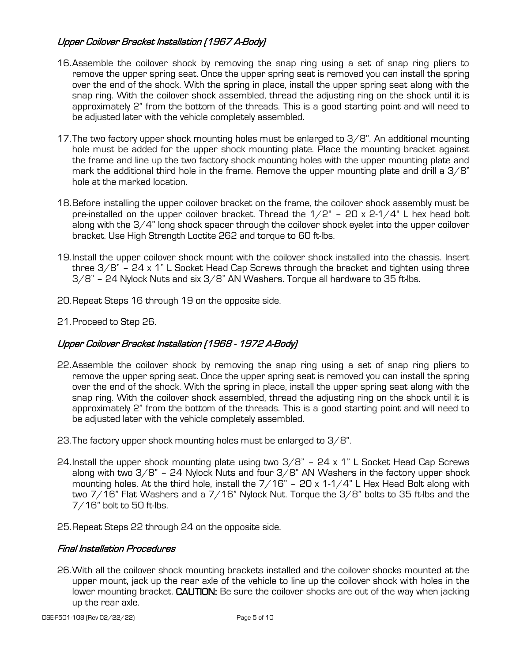# Upper Coilover Bracket Installation (1967 A-Body)

- 16.Assemble the coilover shock by removing the snap ring using a set of snap ring pliers to remove the upper spring seat. Once the upper spring seat is removed you can install the spring over the end of the shock. With the spring in place, install the upper spring seat along with the snap ring. With the coilover shock assembled, thread the adjusting ring on the shock until it is approximately 2" from the bottom of the threads. This is a good starting point and will need to be adjusted later with the vehicle completely assembled.
- 17. The two factory upper shock mounting holes must be enlarged to  $3/8$ ". An additional mounting hole must be added for the upper shock mounting plate. Place the mounting bracket against the frame and line up the two factory shock mounting holes with the upper mounting plate and mark the additional third hole in the frame. Remove the upper mounting plate and drill a  $3/8$ " hole at the marked location.
- 18.Before installing the upper coilover bracket on the frame, the coilover shock assembly must be pre-installed on the upper coilover bracket. Thread the  $1/2"$  - 20 x 2- $1/4"$  L hex head bolt along with the 3/4" long shock spacer through the coilover shock eyelet into the upper coilover bracket. Use High Strength Loctite 262 and torque to 60 ft-lbs.
- 19.Install the upper coilover shock mount with the coilover shock installed into the chassis. Insert three  $3/8$ " – 24 x 1" L Socket Head Cap Screws through the bracket and tighten using three  $3/8$ " – 24 Nylock Nuts and six  $3/8$ " AN Washers. Torque all hardware to 35 ft-lbs.
- 20.Repeat Steps 16 through 19 on the opposite side.
- 21.Proceed to Step 26.

## Upper Coilover Bracket Installation (1968 - 1972 A-Body)

- 22.Assemble the coilover shock by removing the snap ring using a set of snap ring pliers to remove the upper spring seat. Once the upper spring seat is removed you can install the spring over the end of the shock. With the spring in place, install the upper spring seat along with the snap ring. With the coilover shock assembled, thread the adjusting ring on the shock until it is approximately 2" from the bottom of the threads. This is a good starting point and will need to be adjusted later with the vehicle completely assembled.
- 23.The factory upper shock mounting holes must be enlarged to 3/8".
- 24. Install the upper shock mounting plate using two  $3/8$ " 24 x 1" L Socket Head Cap Screws along with two  $3/8$ " – 24 Nylock Nuts and four  $3/8$ " AN Washers in the factory upper shock mounting holes. At the third hole, install the  $7/16"$  – 20 x 1-1/4" L Hex Head Bolt along with two 7/16" Flat Washers and a 7/16" Nylock Nut. Torque the 3/8" bolts to 35 ft-lbs and the 7/16" bolt to 50 ft-lbs.
- 25.Repeat Steps 22 through 24 on the opposite side.

#### Final Installation Procedures

26.With all the coilover shock mounting brackets installed and the coilover shocks mounted at the upper mount, jack up the rear axle of the vehicle to line up the coilover shock with holes in the lower mounting bracket. CAUTION: Be sure the coilover shocks are out of the way when jacking up the rear axle.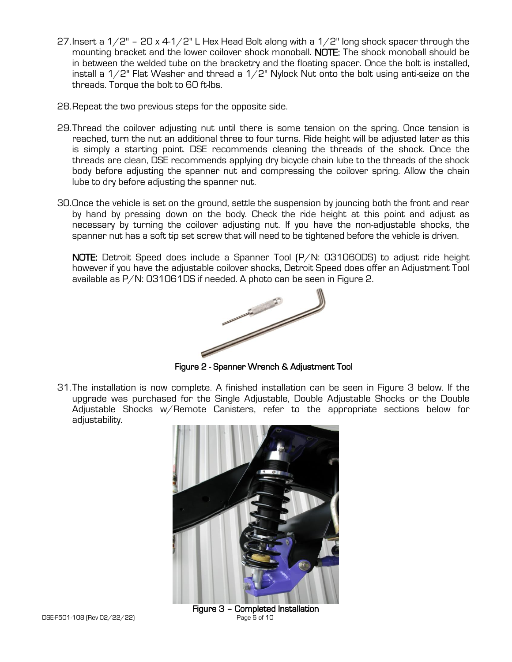- 27. Insert a  $1/2$ " 20 x 4-1/2" L Hex Head Bolt along with a  $1/2$ " long shock spacer through the mounting bracket and the lower coilover shock monoball. NOTE: The shock monoball should be in between the welded tube on the bracketry and the floating spacer. Once the bolt is installed, install a  $1/2$ " Flat Washer and thread a  $1/2$ " Nylock Nut onto the bolt using anti-seize on the threads. Torque the bolt to 60 ft-lbs.
- 28.Repeat the two previous steps for the opposite side.
- 29.Thread the coilover adjusting nut until there is some tension on the spring. Once tension is reached, turn the nut an additional three to four turns. Ride height will be adjusted later as this is simply a starting point. DSE recommends cleaning the threads of the shock. Once the threads are clean, DSE recommends applying dry bicycle chain lube to the threads of the shock body before adjusting the spanner nut and compressing the coilover spring. Allow the chain lube to dry before adjusting the spanner nut.
- 30.Once the vehicle is set on the ground, settle the suspension by jouncing both the front and rear by hand by pressing down on the body. Check the ride height at this point and adjust as necessary by turning the coilover adjusting nut. If you have the non-adjustable shocks, the spanner nut has a soft tip set screw that will need to be tightened before the vehicle is driven.

NOTE: Detroit Speed does include a Spanner Tool (P/N: 031060DS) to adjust ride height however if you have the adjustable coilover shocks, Detroit Speed does offer an Adjustment Tool available as P/N: 031061DS if needed. A photo can be seen in Figure 2.



Figure 2 - Spanner Wrench & Adjustment Tool

31.The installation is now complete. A finished installation can be seen in Figure 3 below. If the upgrade was purchased for the Single Adjustable, Double Adjustable Shocks or the Double Adjustable Shocks w/Remote Canisters, refer to the appropriate sections below for adjustability.



Figure 3 – Completed Installation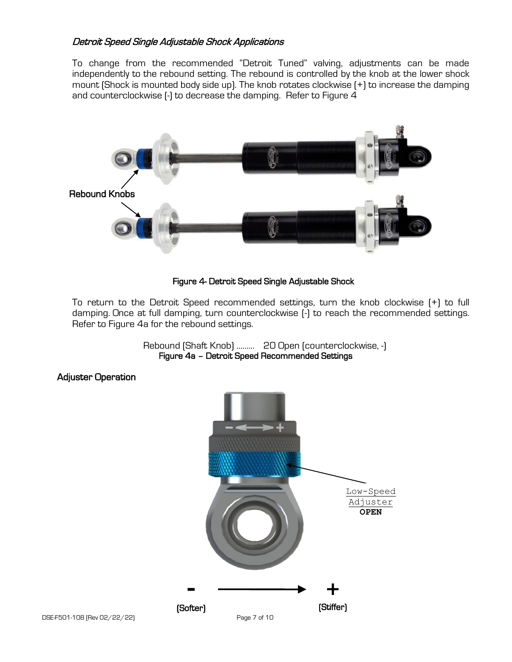## Detroit Speed Single Adjustable Shock Applications

To change from the recommended "Detroit Tuned" valving, adjustments can be made independently to the rebound setting. The rebound is controlled by the knob at the lower shock mount (Shock is mounted body side up). The knob rotates clockwise (+) to increase the damping and counterclockwise (-) to decrease the damping. Refer to Figure 4



#### Figure 4- Detroit Speed Single Adjustable Shock

To return to the Detroit Speed recommended settings, turn the knob clockwise (+) to full damping. Once at full damping, turn counterclockwise (-) to reach the recommended settings. Refer to Figure 4a for the rebound settings.

> Rebound (Shaft Knob) ……… 20 Open (counterclockwise, -) Figure 4a – Detroit Speed Recommended Settings

#### Adjuster Operation

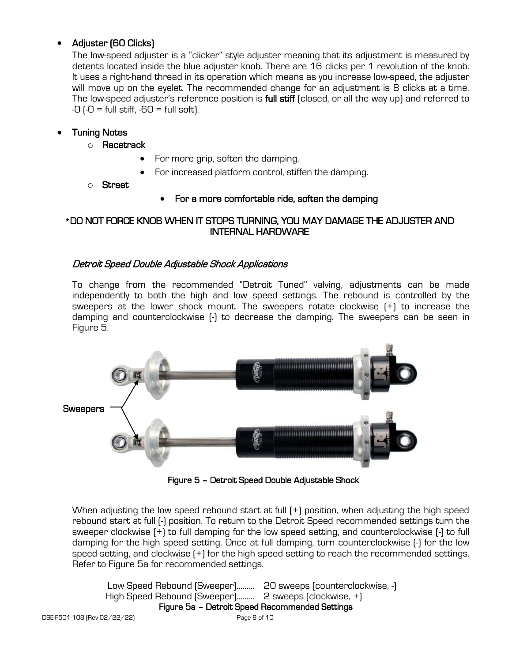## • Adjuster (60 Clicks)

The low-speed adjuster is a "clicker" style adjuster meaning that its adjustment is measured by detents located inside the blue adjuster knob. There are 16 clicks per 1 revolution of the knob. It uses a right-hand thread in its operation which means as you increase low-speed, the adjuster will move up on the eyelet. The recommended change for an adjustment is 8 clicks at a time. The low-speed adjuster's reference position is full stiff (closed, or all the way up) and referred to  $-0$  ( $-0$  = full stiff,  $-60$  = full soft).

## • Tuning Notes

- o Racetrack
	- For more grip, soften the damping.
	- For increased platform control, stiffen the damping.
- o Street

## • For a more comfortable ride, soften the damping

### \*DO NOT FORCE KNOB WHEN IT STOPS TURNING, YOU MAY DAMAGE THE ADJUSTER AND INTERNAL HARDWARE

### Detroit Speed Double Adjustable Shock Applications

To change from the recommended "Detroit Tuned" valving, adjustments can be made independently to both the high and low speed settings. The rebound is controlled by the sweepers at the lower shock mount. The sweepers rotate clockwise (+) to increase the damping and counterclockwise (-) to decrease the damping. The sweepers can be seen in Figure 5.



Figure 5 – Detroit Speed Double Adjustable Shock

When adjusting the low speed rebound start at full (+) position, when adjusting the high speed rebound start at full (-) position. To return to the Detroit Speed recommended settings turn the sweeper clockwise (+) to full damping for the low speed setting, and counterclockwise (-) to full damping for the high speed setting. Once at full damping, turn counterclockwise (-) for the low speed setting, and clockwise (+) for the high speed setting to reach the recommended settings. Refer to Figure 5a for recommended settings.

```
DSE-F501-108 (Rev 02/22/22) Page 8 of 10
              Low Speed Rebound (Sweeper)………
20 sweeps (counterclockwise, -)
             High Speed Rebound (Sweeper)………
2 sweeps (clockwise, +)
                        Figure 5a – Detroit Speed Recommended Settings
```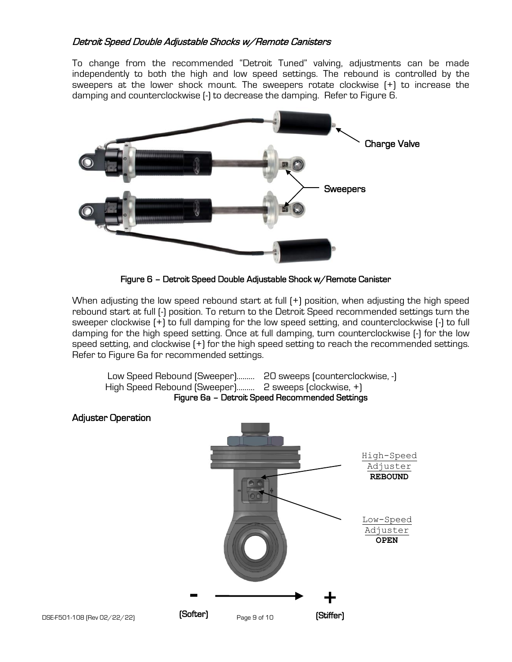### Detroit Speed Double Adjustable Shocks w/Remote Canisters

To change from the recommended "Detroit Tuned" valving, adjustments can be made independently to both the high and low speed settings. The rebound is controlled by the sweepers at the lower shock mount. The sweepers rotate clockwise (+) to increase the damping and counterclockwise (-) to decrease the damping. Refer to Figure 6.



Figure 6 – Detroit Speed Double Adjustable Shock w/Remote Canister

When adjusting the low speed rebound start at full (+) position, when adjusting the high speed rebound start at full (-) position. To return to the Detroit Speed recommended settings turn the sweeper clockwise (+) to full damping for the low speed setting, and counterclockwise (-) to full damping for the high speed setting. Once at full damping, turn counterclockwise (-) for the low speed setting, and clockwise (+) for the high speed setting to reach the recommended settings. Refer to Figure 6a for recommended settings.